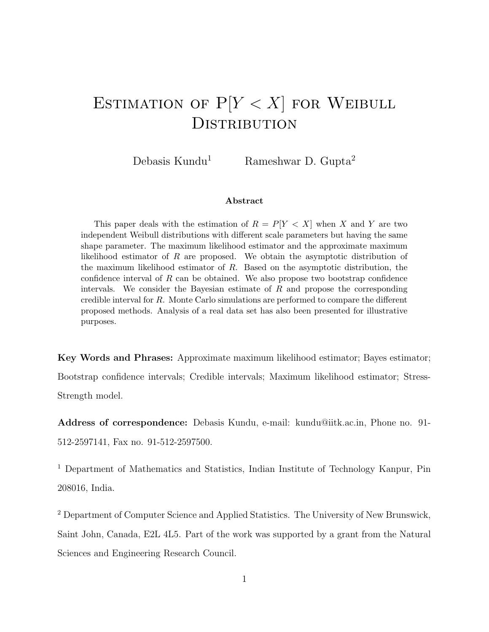# ESTIMATION OF  $P[Y < X]$  for Weibull **DISTRIBUTION**

Debasis Kundu<sup>1</sup> Rameshwar D. Gupta<sup>2</sup>

#### Abstract

This paper deals with the estimation of  $R = P[Y < X]$  when X and Y are two independent Weibull distributions with different scale parameters but having the same shape parameter. The maximum likelihood estimator and the approximate maximum likelihood estimator of R are proposed. We obtain the asymptotic distribution of the maximum likelihood estimator of  $R$ . Based on the asymptotic distribution, the confidence interval of R can be obtained. We also propose two bootstrap confidence intervals. We consider the Bayesian estimate of  $R$  and propose the corresponding credible interval for R. Monte Carlo simulations are performed to compare the different proposed methods. Analysis of a real data set has also been presented for illustrative purposes.

Key Words and Phrases: Approximate maximum likelihood estimator; Bayes estimator; Bootstrap confidence intervals; Credible intervals; Maximum likelihood estimator; Stress-Strength model.

Address of correspondence: Debasis Kundu, e-mail: kundu@iitk.ac.in, Phone no. 91- 512-2597141, Fax no. 91-512-2597500.

<sup>1</sup> Department of Mathematics and Statistics, Indian Institute of Technology Kanpur, Pin 208016, India.

<sup>2</sup> Department of Computer Science and Applied Statistics. The University of New Brunswick, Saint John, Canada, E2L 4L5. Part of the work was supported by a grant from the Natural Sciences and Engineering Research Council.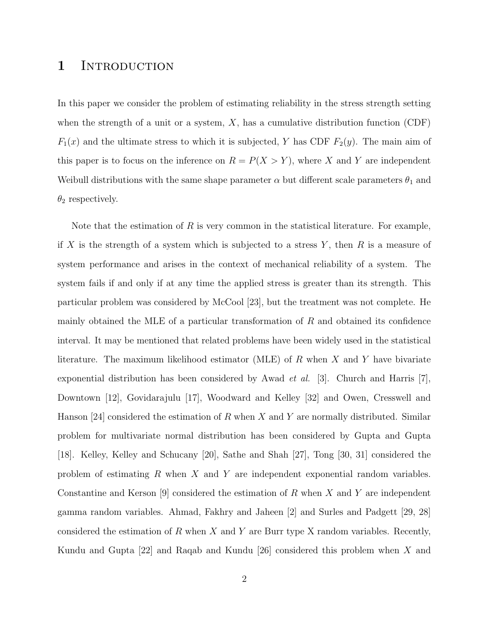#### 1 INTRODUCTION

In this paper we consider the problem of estimating reliability in the stress strength setting when the strength of a unit or a system,  $X$ , has a cumulative distribution function (CDF)  $F_1(x)$  and the ultimate stress to which it is subjected, Y has CDF  $F_2(y)$ . The main aim of this paper is to focus on the inference on  $R = P(X > Y)$ , where X and Y are independent Weibull distributions with the same shape parameter  $\alpha$  but different scale parameters  $\theta_1$  and  $\theta_2$  respectively.

Note that the estimation of R is very common in the statistical literature. For example, if X is the strength of a system which is subjected to a stress Y, then R is a measure of system performance and arises in the context of mechanical reliability of a system. The system fails if and only if at any time the applied stress is greater than its strength. This particular problem was considered by McCool [23], but the treatment was not complete. He mainly obtained the MLE of a particular transformation of  $R$  and obtained its confidence interval. It may be mentioned that related problems have been widely used in the statistical literature. The maximum likelihood estimator (MLE) of  $R$  when  $X$  and  $Y$  have bivariate exponential distribution has been considered by Awad *et al.* [3]. Church and Harris [7], Downtown [12], Govidarajulu [17], Woodward and Kelley [32] and Owen, Cresswell and Hanson [24] considered the estimation of R when X and Y are normally distributed. Similar problem for multivariate normal distribution has been considered by Gupta and Gupta [18]. Kelley, Kelley and Schucany [20], Sathe and Shah [27], Tong [30, 31] considered the problem of estimating  $R$  when  $X$  and  $Y$  are independent exponential random variables. Constantine and Kerson [9] considered the estimation of R when X and Y are independent gamma random variables. Ahmad, Fakhry and Jaheen [2] and Surles and Padgett [29, 28] considered the estimation of R when X and Y are Burr type X random variables. Recently, Kundu and Gupta [22] and Raqab and Kundu [26] considered this problem when X and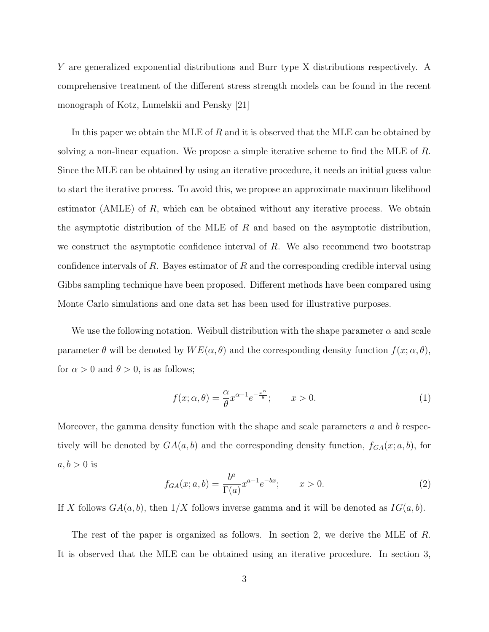Y are generalized exponential distributions and Burr type X distributions respectively. A comprehensive treatment of the different stress strength models can be found in the recent monograph of Kotz, Lumelskii and Pensky [21]

In this paper we obtain the MLE of R and it is observed that the MLE can be obtained by solving a non-linear equation. We propose a simple iterative scheme to find the MLE of R. Since the MLE can be obtained by using an iterative procedure, it needs an initial guess value to start the iterative process. To avoid this, we propose an approximate maximum likelihood estimator (AMLE) of  $R$ , which can be obtained without any iterative process. We obtain the asymptotic distribution of the MLE of  $R$  and based on the asymptotic distribution, we construct the asymptotic confidence interval of  $R$ . We also recommend two bootstrap confidence intervals of R. Bayes estimator of R and the corresponding credible interval using Gibbs sampling technique have been proposed. Different methods have been compared using Monte Carlo simulations and one data set has been used for illustrative purposes.

We use the following notation. Weibull distribution with the shape parameter  $\alpha$  and scale parameter  $\theta$  will be denoted by  $WE(\alpha, \theta)$  and the corresponding density function  $f(x; \alpha, \theta)$ , for  $\alpha > 0$  and  $\theta > 0$ , is as follows;

$$
f(x; \alpha, \theta) = \frac{\alpha}{\theta} x^{\alpha - 1} e^{-\frac{x^{\alpha}}{\theta}}; \qquad x > 0.
$$
 (1)

Moreover, the gamma density function with the shape and scale parameters  $a$  and  $b$  respectively will be denoted by  $GA(a, b)$  and the corresponding density function,  $f_{GA}(x; a, b)$ , for  $a, b > 0$  is

$$
f_{GA}(x;a,b) = \frac{b^a}{\Gamma(a)} x^{a-1} e^{-bx}; \qquad x > 0.
$$
 (2)

If X follows  $GA(a, b)$ , then  $1/X$  follows inverse gamma and it will be denoted as  $IG(a, b)$ .

The rest of the paper is organized as follows. In section 2, we derive the MLE of R. It is observed that the MLE can be obtained using an iterative procedure. In section 3,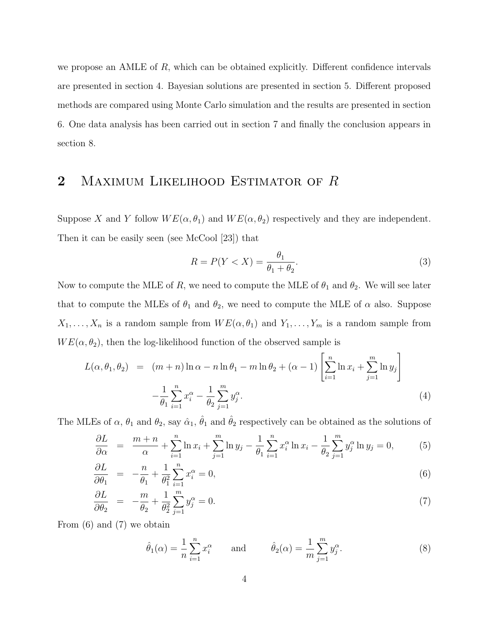we propose an AMLE of  $R$ , which can be obtained explicitly. Different confidence intervals are presented in section 4. Bayesian solutions are presented in section 5. Different proposed methods are compared using Monte Carlo simulation and the results are presented in section 6. One data analysis has been carried out in section 7 and finally the conclusion appears in section 8.

### 2 MAXIMUM LIKELIHOOD ESTIMATOR OF R

Suppose X and Y follow  $WE(\alpha, \theta_1)$  and  $WE(\alpha, \theta_2)$  respectively and they are independent. Then it can be easily seen (see McCool [23]) that

$$
R = P(Y < X) = \frac{\theta_1}{\theta_1 + \theta_2}.\tag{3}
$$

Now to compute the MLE of R, we need to compute the MLE of  $\theta_1$  and  $\theta_2$ . We will see later that to compute the MLEs of  $\theta_1$  and  $\theta_2$ , we need to compute the MLE of  $\alpha$  also. Suppose  $X_1, \ldots, X_n$  is a random sample from  $WE(\alpha, \theta_1)$  and  $Y_1, \ldots, Y_m$  is a random sample from  $WE(\alpha, \theta_2)$ , then the log-likelihood function of the observed sample is

$$
L(\alpha, \theta_1, \theta_2) = (m+n)\ln \alpha - n \ln \theta_1 - m \ln \theta_2 + (\alpha - 1) \left[ \sum_{i=1}^n \ln x_i + \sum_{j=1}^m \ln y_j \right] - \frac{1}{\theta_1} \sum_{i=1}^n x_i^{\alpha} - \frac{1}{\theta_2} \sum_{j=1}^m y_j^{\alpha}.
$$
\n(4)

The MLEs of  $\alpha$ ,  $\theta_1$  and  $\theta_2$ , say  $\hat{\alpha}_1$ ,  $\hat{\theta}_1$  and  $\hat{\theta}_2$  respectively can be obtained as the solutions of

$$
\frac{\partial L}{\partial \alpha} = \frac{m+n}{\alpha} + \sum_{i=1}^{n} \ln x_i + \sum_{j=1}^{m} \ln y_j - \frac{1}{\theta_1} \sum_{i=1}^{n} x_i^{\alpha} \ln x_i - \frac{1}{\theta_2} \sum_{j=1}^{m} y_j^{\alpha} \ln y_j = 0, \quad (5)
$$

$$
\frac{\partial L}{\partial \theta_1} = -\frac{n}{\theta_1} + \frac{1}{\theta_1^2} \sum_{i=1}^n x_i^{\alpha} = 0,
$$
\n(6)

$$
\frac{\partial L}{\partial \theta_2} = -\frac{m}{\theta_2} + \frac{1}{\theta_2^2} \sum_{j=1}^m y_j^\alpha = 0.
$$
\n(7)

From (6) and (7) we obtain

$$
\hat{\theta}_1(\alpha) = \frac{1}{n} \sum_{i=1}^n x_i^{\alpha} \quad \text{and} \quad \hat{\theta}_2(\alpha) = \frac{1}{m} \sum_{j=1}^m y_j^{\alpha}.
$$
 (8)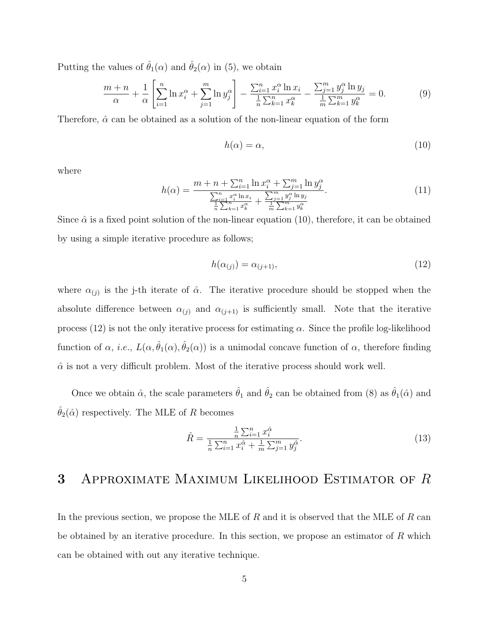Putting the values of  $\hat{\theta}_1(\alpha)$  and  $\hat{\theta}_2(\alpha)$  in (5), we obtain

$$
\frac{m+n}{\alpha} + \frac{1}{\alpha} \left[ \sum_{i=1}^{n} \ln x_i^{\alpha} + \sum_{j=1}^{m} \ln y_j^{\alpha} \right] - \frac{\sum_{i=1}^{n} x_i^{\alpha} \ln x_i}{\frac{1}{n} \sum_{k=1}^{n} x_k^{\alpha}} - \frac{\sum_{j=1}^{m} y_j^{\alpha} \ln y_j}{\frac{1}{m} \sum_{k=1}^{m} y_k^{\alpha}} = 0.
$$
 (9)

Therefore,  $\hat{\alpha}$  can be obtained as a solution of the non-linear equation of the form

$$
h(\alpha) = \alpha,\tag{10}
$$

where

$$
h(\alpha) = \frac{m + n + \sum_{i=1}^{n} \ln x_i^{\alpha} + \sum_{j=1}^{m} \ln y_j^{\alpha}}{\frac{\sum_{i=1}^{n} x_i^{\alpha} \ln x_i}{\frac{1}{n} \sum_{k=1}^{n} x_k^{\alpha}} + \frac{\sum_{j=1}^{m} y_j^{\alpha} \ln y_j}{\frac{1}{m} \sum_{k=1}^{m} y_k^{\alpha}}}
$$
(11)

Since  $\hat{\alpha}$  is a fixed point solution of the non-linear equation (10), therefore, it can be obtained by using a simple iterative procedure as follows;

$$
h(\alpha_{(j)}) = \alpha_{(j+1)},\tag{12}
$$

where  $\alpha_{(j)}$  is the j-th iterate of  $\hat{\alpha}$ . The iterative procedure should be stopped when the absolute difference between  $\alpha_{(j)}$  and  $\alpha_{(j+1)}$  is sufficiently small. Note that the iterative process (12) is not the only iterative process for estimating  $\alpha$ . Since the profile log-likelihood function of  $\alpha$ , *i.e.*,  $L(\alpha, \hat{\theta}_1(\alpha), \hat{\theta}_2(\alpha))$  is a unimodal concave function of  $\alpha$ , therefore finding  $\hat{\alpha}$  is not a very difficult problem. Most of the iterative process should work well.

Once we obtain  $\hat{\alpha}$ , the scale parameters  $\hat{\theta}_1$  and  $\hat{\theta}_2$  can be obtained from (8) as  $\hat{\theta}_1(\hat{\alpha})$  and  $\hat{\theta}_2(\hat{\alpha})$  respectively. The MLE of R becomes

$$
\hat{R} = \frac{\frac{1}{n}\sum_{i=1}^{n}x_i^{\hat{\alpha}}}{\frac{1}{n}\sum_{i=1}^{n}x_i^{\hat{\alpha}} + \frac{1}{m}\sum_{j=1}^{m}y_j^{\hat{\alpha}}}.
$$
\n(13)

#### 3 Approximate Maximum Likelihood Estimator of R

In the previous section, we propose the MLE of  $R$  and it is observed that the MLE of  $R$  can be obtained by an iterative procedure. In this section, we propose an estimator of  $R$  which can be obtained with out any iterative technique.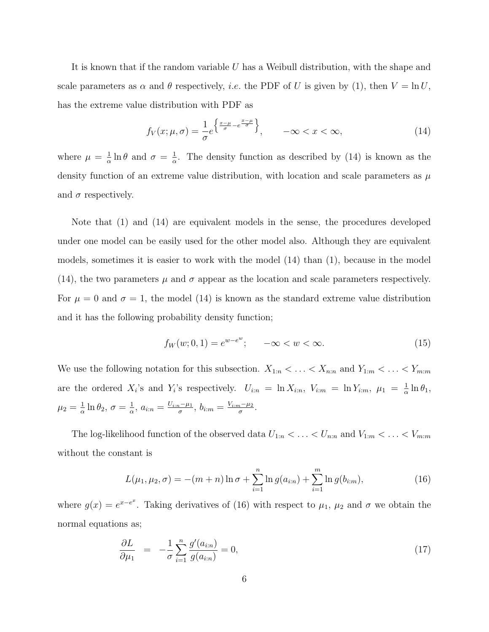It is known that if the random variable U has a Weibull distribution, with the shape and scale parameters as  $\alpha$  and  $\theta$  respectively, *i.e.* the PDF of U is given by (1), then  $V = \ln U$ , has the extreme value distribution with PDF as

$$
f_V(x; \mu, \sigma) = \frac{1}{\sigma} e^{\left\{ \frac{x-\mu}{\sigma} - e^{\frac{x-\mu}{\sigma}} \right\}}, \qquad -\infty < x < \infty,\tag{14}
$$

where  $\mu = \frac{1}{\alpha}$  $\frac{1}{\alpha} \ln \theta$  and  $\sigma = \frac{1}{\alpha}$  $\frac{1}{\alpha}$ . The density function as described by (14) is known as the density function of an extreme value distribution, with location and scale parameters as  $\mu$ and  $\sigma$  respectively.

Note that (1) and (14) are equivalent models in the sense, the procedures developed under one model can be easily used for the other model also. Although they are equivalent models, sometimes it is easier to work with the model (14) than (1), because in the model (14), the two parameters  $\mu$  and  $\sigma$  appear as the location and scale parameters respectively. For  $\mu = 0$  and  $\sigma = 1$ , the model (14) is known as the standard extreme value distribution and it has the following probability density function;

$$
f_W(w; 0, 1) = e^{w - e^w}; \quad -\infty < w < \infty. \tag{15}
$$

We use the following notation for this subsection.  $X_{1:n} < \ldots < X_{n:n}$  and  $Y_{1:m} < \ldots < Y_{m:m}$ are the ordered  $X_i$ 's and  $Y_i$ 's respectively.  $U_{i:n} = \ln X_{i:n}$ ,  $V_{i:m} = \ln Y_{i:m}$ ,  $\mu_1 = \frac{1}{\alpha}$  $\frac{1}{\alpha} \ln \theta_1$ ,  $\mu_2 = \frac{1}{\alpha}$  $\frac{1}{\alpha} \ln \theta_2, \ \sigma = \frac{1}{\alpha}$  $\frac{1}{\alpha}$ ,  $a_{i:n} = \frac{U_{i:n} - \mu_1}{\sigma}$  $\frac{1-\mu_1}{\sigma},\, b_{i:m}=\frac{V_{i:m}-\mu_2}{\sigma}$  $\frac{\partial u^{-\mu_2}}{\partial}$ .

The log-likelihood function of the observed data  $U_{1:n} < \ldots < U_{n:n}$  and  $V_{1:m} < \ldots < V_{m:m}$ without the constant is

$$
L(\mu_1, \mu_2, \sigma) = -(m+n)\ln \sigma + \sum_{i=1}^n \ln g(a_{i:n}) + \sum_{i=1}^m \ln g(b_{i:m}), \qquad (16)
$$

where  $g(x) = e^{x-e^x}$ . Taking derivatives of (16) with respect to  $\mu_1$ ,  $\mu_2$  and  $\sigma$  we obtain the normal equations as;

$$
\frac{\partial L}{\partial \mu_1} = -\frac{1}{\sigma} \sum_{i=1}^n \frac{g'(a_{i:n})}{g(a_{i:n})} = 0,
$$
\n(17)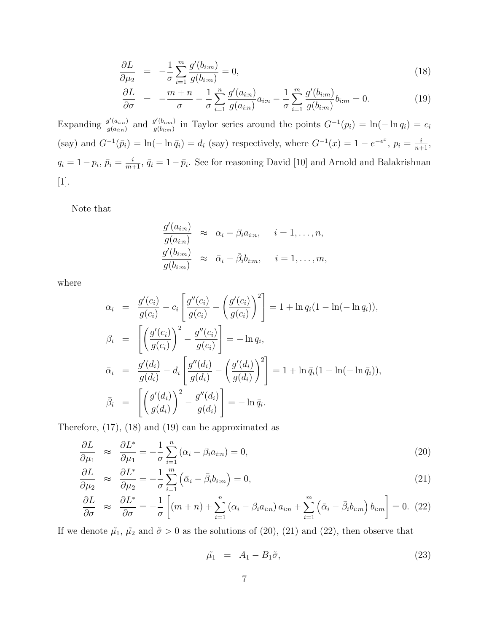$$
\frac{\partial L}{\partial \mu_2} = -\frac{1}{\sigma} \sum_{i=1}^m \frac{g'(b_{i:m})}{g(b_{i:m})} = 0,
$$
\n(18)

$$
\frac{\partial L}{\partial \sigma} = -\frac{m+n}{\sigma} - \frac{1}{\sigma} \sum_{i=1}^{n} \frac{g'(a_{i:n})}{g(a_{i:n})} a_{i:n} - \frac{1}{\sigma} \sum_{i=1}^{m} \frac{g'(b_{i:m})}{g(b_{i:m})} b_{i:m} = 0.
$$
\n(19)

Expanding  $\frac{g'(a_{i:n})}{g(a)}$  $\frac{g'(a_{i:n})}{g(a_{i:n})}$  and  $\frac{g'(b_{i:m})}{g(b_{i:m})}$  $\frac{g'(b_{i:m})}{g(b_{i:m})}$  in Taylor series around the points  $G^{-1}(p_i) = \ln(-\ln q_i) = c_i$ (say) and  $G^{-1}(\bar{p}_i) = \ln(-\ln \bar{q}_i) = d_i$  (say) respectively, where  $G^{-1}(x) = 1 - e^{-e^x}$ ,  $p_i = \frac{i}{n+1}$ ,  $q_i = 1 - p_i$ ,  $\bar{p}_i = \frac{i}{m+1}$ ,  $\bar{q}_i = 1 - \bar{p}_i$ . See for reasoning David [10] and Arnold and Balakrishnan [1].

Note that

$$
\frac{g'(a_{i:n})}{g(a_{i:n})} \approx \alpha_i - \beta_i a_{i:n}, \quad i = 1, ..., n,
$$
  

$$
\frac{g'(b_{i:n})}{g(b_{i:n})} \approx \bar{\alpha}_i - \bar{\beta}_i b_{i:n}, \quad i = 1, ..., m,
$$

where

$$
\alpha_{i} = \frac{g'(c_{i})}{g(c_{i})} - c_{i} \left[ \frac{g''(c_{i})}{g(c_{i})} - \left( \frac{g'(c_{i})}{g(c_{i})} \right)^{2} \right] = 1 + \ln q_{i} (1 - \ln(-\ln q_{i})),
$$
  
\n
$$
\beta_{i} = \left[ \left( \frac{g'(c_{i})}{g(c_{i})} \right)^{2} - \frac{g''(c_{i})}{g(c_{i})} \right] = -\ln q_{i},
$$
  
\n
$$
\bar{\alpha}_{i} = \frac{g'(d_{i})}{g(d_{i})} - d_{i} \left[ \frac{g''(d_{i})}{g(d_{i})} - \left( \frac{g'(d_{i})}{g(d_{i})} \right)^{2} \right] = 1 + \ln \bar{q}_{i} (1 - \ln(-\ln \bar{q}_{i})),
$$
  
\n
$$
\bar{\beta}_{i} = \left[ \left( \frac{g'(d_{i})}{g(d_{i})} \right)^{2} - \frac{g''(d_{i})}{g(d_{i})} \right] = -\ln \bar{q}_{i}.
$$

Therefore, (17), (18) and (19) can be approximated as

$$
\frac{\partial L}{\partial \mu_1} \approx \frac{\partial L^*}{\partial \mu_1} = -\frac{1}{\sigma} \sum_{i=1}^n (\alpha_i - \beta_i a_{i:n}) = 0,
$$
\n(20)

$$
\frac{\partial L}{\partial \mu_2} \approx \frac{\partial L^*}{\partial \mu_2} = -\frac{1}{\sigma} \sum_{i=1}^m \left( \bar{\alpha}_i - \bar{\beta}_i b_{i:m} \right) = 0, \tag{21}
$$

$$
\frac{\partial L}{\partial \sigma} \approx \frac{\partial L^*}{\partial \sigma} = -\frac{1}{\sigma} \left[ (m+n) + \sum_{i=1}^n \left( \alpha_i - \beta_i a_{i:n} \right) a_{i:n} + \sum_{i=1}^m \left( \bar{\alpha}_i - \bar{\beta}_i b_{i:m} \right) b_{i:m} \right] = 0. \tag{22}
$$

If we denote  $\tilde{\mu_1}$ ,  $\tilde{\mu_2}$  and  $\tilde{\sigma} > 0$  as the solutions of (20), (21) and (22), then observe that

$$
\tilde{\mu}_1 = A_1 - B_1 \tilde{\sigma}, \tag{23}
$$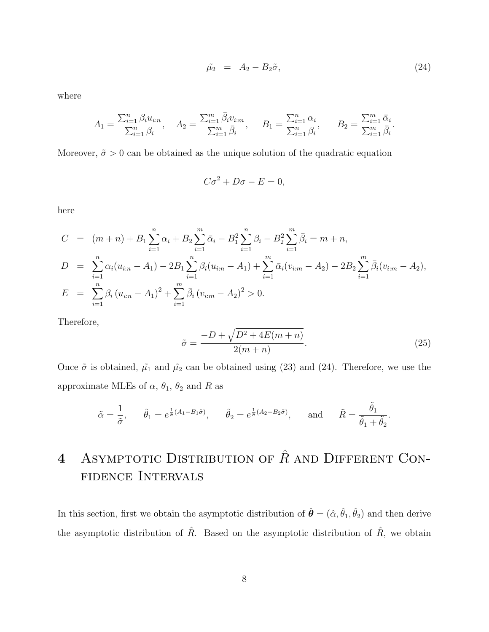$$
\tilde{\mu_2} = A_2 - B_2 \tilde{\sigma}, \qquad (24)
$$

where

$$
A_1 = \frac{\sum_{i=1}^n \beta_i u_{i:n}}{\sum_{i=1}^n \beta_i}, \quad A_2 = \frac{\sum_{i=1}^m \bar{\beta}_i v_{i:m}}{\sum_{i=1}^m \bar{\beta}_i}, \quad B_1 = \frac{\sum_{i=1}^n \alpha_i}{\sum_{i=1}^n \beta_i}, \quad B_2 = \frac{\sum_{i=1}^m \bar{\alpha}_i}{\sum_{i=1}^m \bar{\beta}_i}.
$$

Moreover,  $\tilde{\sigma} > 0$  can be obtained as the unique solution of the quadratic equation

$$
C\sigma^2 + D\sigma - E = 0,
$$

here

$$
C = (m+n) + B_1 \sum_{i=1}^{n} \alpha_i + B_2 \sum_{i=1}^{m} \bar{\alpha}_i - B_1^2 \sum_{i=1}^{n} \beta_i - B_2^2 \sum_{i=1}^{m} \bar{\beta}_i = m+n,
$$
  
\n
$$
D = \sum_{i=1}^{n} \alpha_i (u_{i:n} - A_1) - 2B_1 \sum_{i=1}^{n} \beta_i (u_{i:n} - A_1) + \sum_{i=1}^{m} \bar{\alpha}_i (v_{i:m} - A_2) - 2B_2 \sum_{i=1}^{m} \bar{\beta}_i (v_{i:m} - A_2),
$$
  
\n
$$
E = \sum_{i=1}^{n} \beta_i (u_{i:n} - A_1)^2 + \sum_{i=1}^{m} \bar{\beta}_i (v_{i:m} - A_2)^2 > 0.
$$

Therefore,

$$
\tilde{\sigma} = \frac{-D + \sqrt{D^2 + 4E(m+n)}}{2(m+n)}.\tag{25}
$$

Once  $\tilde{\sigma}$  is obtained,  $\tilde{\mu_1}$  and  $\tilde{\mu_2}$  can be obtained using (23) and (24). Therefore, we use the approximate MLEs of  $\alpha$ ,  $\theta_1$ ,  $\theta_2$  and R as

$$
\tilde{\alpha} = \frac{1}{\tilde{\sigma}}, \quad \tilde{\theta}_1 = e^{\frac{1}{\tilde{\sigma}}(A_1 - B_1\tilde{\sigma})}, \quad \tilde{\theta}_2 = e^{\frac{1}{\tilde{\sigma}}(A_2 - B_2\tilde{\sigma})}, \quad \text{and} \quad \tilde{R} = \frac{\tilde{\theta}_1}{\tilde{\theta}_1 + \tilde{\theta}_2}.
$$

# 4 ASYMPTOTIC DISTRIBUTION OF  $\hat{R}$  and DIFFERENT CONfidence Intervals

In this section, first we obtain the asymptotic distribution of  $\hat{\theta} = (\hat{\alpha}, \hat{\theta}_1, \hat{\theta}_2)$  and then derive the asymptotic distribution of  $\hat{R}$ . Based on the asymptotic distribution of  $\hat{R}$ , we obtain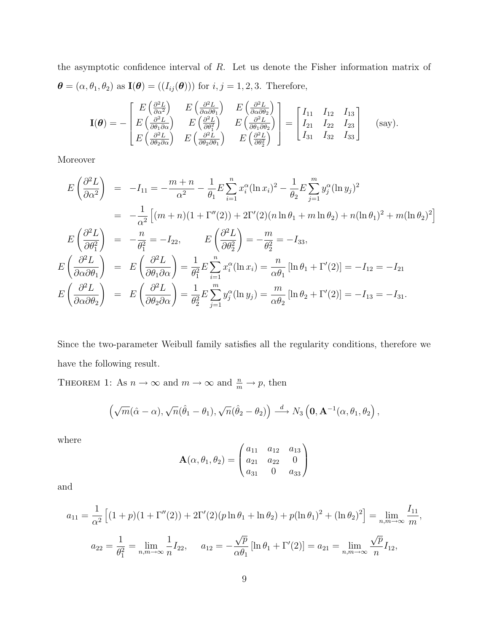the asymptotic confidence interval of R. Let us denote the Fisher information matrix of  $\boldsymbol{\theta} = (\alpha, \theta_1, \theta_2)$  as  $\mathbf{I}(\boldsymbol{\theta}) = ((I_{ij}(\boldsymbol{\theta})))$  for  $i, j = 1, 2, 3$ . Therefore,

$$
\mathbf{I}(\boldsymbol{\theta}) = -\begin{bmatrix} E\left(\frac{\partial^2 L}{\partial \alpha^2}\right) & E\left(\frac{\partial^2 L}{\partial \alpha \partial \theta_1}\right) & E\left(\frac{\partial^2 L}{\partial \alpha \partial \theta_2}\right) \\ E\left(\frac{\partial^2 L}{\partial \theta_1 \partial \alpha}\right) & E\left(\frac{\partial^2 L}{\partial \theta_1^2}\right) & E\left(\frac{\partial^2 L}{\partial \theta_1 \partial \theta_2}\right) \\ E\left(\frac{\partial^2 L}{\partial \theta_2 \partial \alpha}\right) & E\left(\frac{\partial^2 L}{\partial \theta_2 \partial \theta_1}\right) & E\left(\frac{\partial^2 L}{\partial \theta_2^2}\right) \end{bmatrix} = \begin{bmatrix} I_{11} & I_{12} & I_{13} \\ I_{21} & I_{22} & I_{23} \\ I_{31} & I_{32} & I_{33} \end{bmatrix}
$$
 (say).

Moreover

$$
E\left(\frac{\partial^2 L}{\partial \alpha^2}\right) = -I_{11} = -\frac{m+n}{\alpha^2} - \frac{1}{\theta_1} E \sum_{i=1}^n x_i^{\alpha} (\ln x_i)^2 - \frac{1}{\theta_2} E \sum_{j=1}^m y_j^{\alpha} (\ln y_j)^2
$$
  
\n
$$
= -\frac{1}{\alpha^2} \left[ (m+n)(1+\Gamma''(2)) + 2\Gamma'(2)(n \ln \theta_1 + m \ln \theta_2) + n(\ln \theta_1)^2 + m(\ln \theta_2)^2 \right]
$$
  
\n
$$
E\left(\frac{\partial^2 L}{\partial \theta_1^2}\right) = -\frac{n}{\theta_1^2} = -I_{22}, \qquad E\left(\frac{\partial^2 L}{\partial \theta_2^2}\right) = -\frac{m}{\theta_2^2} = -I_{33},
$$
  
\n
$$
E\left(\frac{\partial^2 L}{\partial \alpha \partial \theta_1}\right) = E\left(\frac{\partial^2 L}{\partial \theta_1 \partial \alpha}\right) = \frac{1}{\theta_1^2} E \sum_{i=1}^n x_i^{\alpha} (\ln x_i) = \frac{n}{\alpha \theta_1} [\ln \theta_1 + \Gamma'(2)] = -I_{12} = -I_{21}
$$
  
\n
$$
E\left(\frac{\partial^2 L}{\partial \alpha \partial \theta_2}\right) = E\left(\frac{\partial^2 L}{\partial \theta_2 \partial \alpha}\right) = \frac{1}{\theta_2^2} E \sum_{j=1}^m y_j^{\alpha} (\ln y_j) = \frac{m}{\alpha \theta_2} [\ln \theta_2 + \Gamma'(2)] = -I_{13} = -I_{31}.
$$

Since the two-parameter Weibull family satisfies all the regularity conditions, therefore we have the following result.

THEOREM 1: As  $n \to \infty$  and  $m \to \infty$  and  $\frac{n}{m} \to p$ , then

$$
\left(\sqrt{m}(\hat{\alpha}-\alpha),\sqrt{n}(\hat{\theta}_1-\theta_1),\sqrt{n}(\hat{\theta}_2-\theta_2)\right) \stackrel{d}{\longrightarrow} N_3\left(\mathbf{0},\mathbf{A}^{-1}(\alpha,\theta_1,\theta_2\right),\,
$$

where

$$
\mathbf{A}(\alpha, \theta_1, \theta_2) = \begin{pmatrix} a_{11} & a_{12} & a_{13} \\ a_{21} & a_{22} & 0 \\ a_{31} & 0 & a_{33} \end{pmatrix}
$$

and

$$
a_{11} = \frac{1}{\alpha^2} \left[ (1+p)(1+\Gamma''(2)) + 2\Gamma'(2)(p\ln\theta_1 + \ln\theta_2) + p(\ln\theta_1)^2 + (\ln\theta_2)^2 \right] = \lim_{n,m \to \infty} \frac{I_{11}}{m},
$$
  

$$
a_{22} = \frac{1}{\theta_1^2} = \lim_{n,m \to \infty} \frac{1}{n} I_{22}, \quad a_{12} = -\frac{\sqrt{p}}{\alpha \theta_1} [\ln\theta_1 + \Gamma'(2)] = a_{21} = \lim_{n,m \to \infty} \frac{\sqrt{p}}{n} I_{12},
$$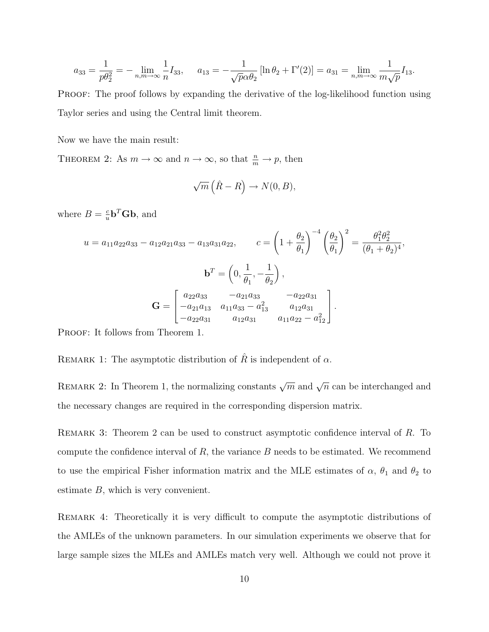$$
a_{33} = \frac{1}{p\theta_2^2} = -\lim_{n,m \to \infty} \frac{1}{n} I_{33}, \quad a_{13} = -\frac{1}{\sqrt{p}\alpha \theta_2} \left[ \ln \theta_2 + \Gamma'(2) \right] = a_{31} = \lim_{n,m \to \infty} \frac{1}{m\sqrt{p}} I_{13}.
$$

PROOF: The proof follows by expanding the derivative of the log-likelihood function using Taylor series and using the Central limit theorem.

Now we have the main result:

THEOREM 2: As  $m \to \infty$  and  $n \to \infty$ , so that  $\frac{n}{m} \to p$ , then

$$
\sqrt{m}\left(\hat{R}-R\right) \to N(0,B),
$$

where  $B=\frac{c}{u}$  $\frac{c}{u}$ **b**<sup>T</sup>**Gb**, and

$$
u = a_{11}a_{22}a_{33} - a_{12}a_{21}a_{33} - a_{13}a_{31}a_{22}, \t c = \left(1 + \frac{\theta_2}{\theta_1}\right)^{-4} \left(\frac{\theta_2}{\theta_1}\right)^2 = \frac{\theta_1^2 \theta_2^2}{(\theta_1 + \theta_2)^4},
$$

$$
\mathbf{b}^T = \left(0, \frac{1}{\theta_1}, -\frac{1}{\theta_2}\right),
$$

$$
\mathbf{G} = \begin{bmatrix} a_{22}a_{33} & -a_{21}a_{33} & -a_{22}a_{31} \\ -a_{21}a_{13} & a_{11}a_{33} - a_{13}^2 & a_{12}a_{31} \\ -a_{22}a_{31} & a_{12}a_{31} & a_{11}a_{22} - a_{12}^2 \end{bmatrix}.
$$

PROOF: It follows from Theorem 1.

REMARK 1: The asymptotic distribution of  $\hat{R}$  is independent of  $\alpha$ .

REMARK 2: In Theorem 1, the normalizing constants  $\sqrt{m}$  and  $\sqrt{n}$  can be interchanged and the necessary changes are required in the corresponding dispersion matrix.

REMARK 3: Theorem 2 can be used to construct asymptotic confidence interval of R. To compute the confidence interval of  $R$ , the variance  $B$  needs to be estimated. We recommend to use the empirical Fisher information matrix and the MLE estimates of  $\alpha$ ,  $\theta_1$  and  $\theta_2$  to estimate B, which is very convenient.

Remark 4: Theoretically it is very difficult to compute the asymptotic distributions of the AMLEs of the unknown parameters. In our simulation experiments we observe that for large sample sizes the MLEs and AMLEs match very well. Although we could not prove it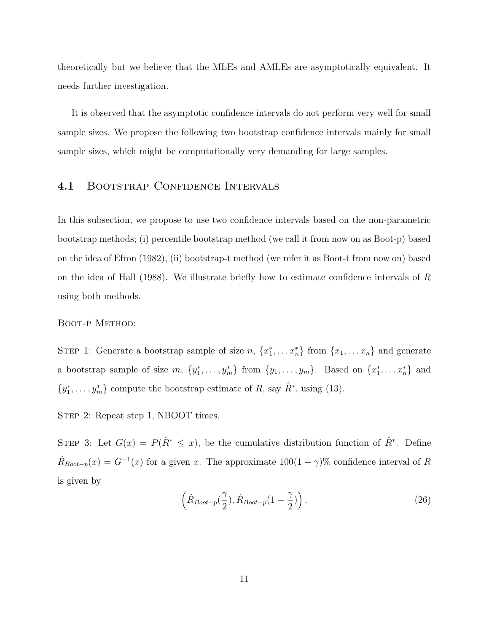theoretically but we believe that the MLEs and AMLEs are asymptotically equivalent. It needs further investigation.

It is observed that the asymptotic confidence intervals do not perform very well for small sample sizes. We propose the following two bootstrap confidence intervals mainly for small sample sizes, which might be computationally very demanding for large samples.

#### 4.1 BOOTSTRAP CONFIDENCE INTERVALS

In this subsection, we propose to use two confidence intervals based on the non-parametric bootstrap methods; (i) percentile bootstrap method (we call it from now on as Boot-p) based on the idea of Efron (1982), (ii) bootstrap-t method (we refer it as Boot-t from now on) based on the idea of Hall (1988). We illustrate briefly how to estimate confidence intervals of R using both methods.

#### Boot-p Method:

STEP 1: Generate a bootstrap sample of size  $n, \{x_1^*, \ldots x_n^*\}$  from  $\{x_1, \ldots x_n\}$  and generate a bootstrap sample of size  $m, \{y_1^*, \ldots, y_m^*\}$  from  $\{y_1, \ldots, y_m\}$ . Based on  $\{x_1^*, \ldots, x_n^*\}$  and  $\{y_1^*, \ldots, y_m^*\}$  compute the bootstrap estimate of R, say  $\hat{R}^*$ , using (13).

STEP 2: Repeat step 1, NBOOT times.

STEP 3: Let  $G(x) = P(\hat{R}^* \leq x)$ , be the cumulative distribution function of  $\hat{R}^*$ . Define  $\hat{R}_{Boot-p}(x) = G^{-1}(x)$  for a given x. The approximate  $100(1-\gamma)\%$  confidence interval of R is given by

$$
\left(\hat{R}_{\text{Boot}-p}(\frac{\gamma}{2}), \hat{R}_{\text{Boot}-p}(1-\frac{\gamma}{2})\right). \tag{26}
$$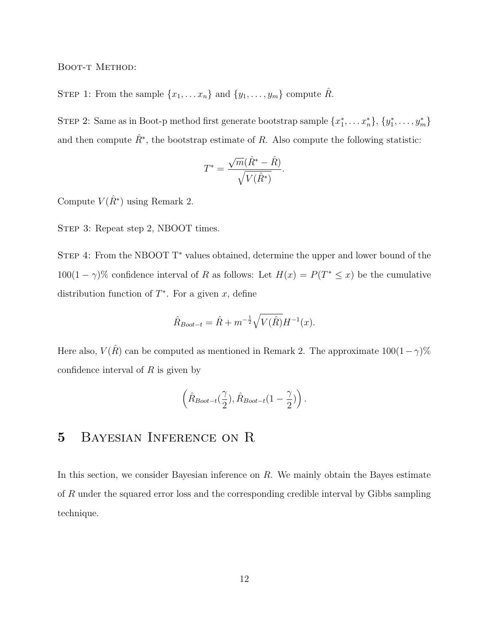BOOT-T METHOD:

STEP 1: From the sample  $\{x_1, \ldots x_n\}$  and  $\{y_1, \ldots, y_m\}$  compute  $\hat{R}$ .

STEP 2: Same as in Boot-p method first generate bootstrap sample  $\{x_1^*, \ldots x_n^*\}, \{y_1^*, \ldots, y_m^*\}$ and then compute  $\hat{R}^*$ , the bootstrap estimate of R. Also compute the following statistic:

$$
T^* = \frac{\sqrt{m}(\hat{R}^* - \hat{R})}{\sqrt{V(\hat{R}^*)}}.
$$

Compute  $V(\hat{R}^*)$  using Remark 2.

STEP 3: Repeat step 2, NBOOT times.

STEP 4: From the NBOOT T<sup>\*</sup> values obtained, determine the upper and lower bound of the  $100(1 - \gamma)$ % confidence interval of R as follows: Let  $H(x) = P(T^* \leq x)$  be the cumulative distribution function of  $T^*$ . For a given x, define

$$
\hat{R}_{Boot-t} = \hat{R} + m^{-\frac{1}{2}} \sqrt{V(\hat{R})} H^{-1}(x).
$$

Here also,  $V(\hat{R})$  can be computed as mentioned in Remark 2. The approximate  $100(1-\gamma)\%$ confidence interval of  $R$  is given by

$$
\left(\hat{R}_{\textit{Boot}-t}(\frac{\gamma}{2}),\hat{R}_{\textit{Boot}-t}(1-\frac{\gamma}{2})\right).
$$

### 5 Bayesian Inference on R

In this section, we consider Bayesian inference on  $R$ . We mainly obtain the Bayes estimate of R under the squared error loss and the corresponding credible interval by Gibbs sampling technique.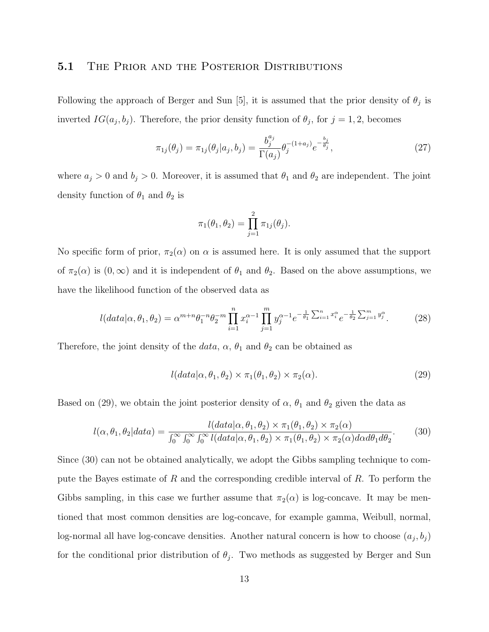#### 5.1 THE PRIOR AND THE POSTERIOR DISTRIBUTIONS

Following the approach of Berger and Sun [5], it is assumed that the prior density of  $\theta_j$  is inverted  $IG(a_j, b_j)$ . Therefore, the prior density function of  $\theta_j$ , for  $j = 1, 2$ , becomes

$$
\pi_{1j}(\theta_j) = \pi_{1j}(\theta_j|a_j, b_j) = \frac{b_j^{a_j}}{\Gamma(a_j)} \theta_j^{-(1+a_j)} e^{-\frac{b_j}{\theta_j}}, \qquad (27)
$$

where  $a_j > 0$  and  $b_j > 0$ . Moreover, it is assumed that  $\theta_1$  and  $\theta_2$  are independent. The joint density function of  $\theta_1$  and  $\theta_2$  is

$$
\pi_1(\theta_1, \theta_2) = \prod_{j=1}^2 \pi_{1j}(\theta_j).
$$

No specific form of prior,  $\pi_2(\alpha)$  on  $\alpha$  is assumed here. It is only assumed that the support of  $\pi_2(\alpha)$  is  $(0,\infty)$  and it is independent of  $\theta_1$  and  $\theta_2$ . Based on the above assumptions, we have the likelihood function of the observed data as

$$
l(data|\alpha, \theta_1, \theta_2) = \alpha^{m+n} \theta_1^{-n} \theta_2^{-m} \prod_{i=1}^n x_i^{\alpha-1} \prod_{j=1}^m y_j^{\alpha-1} e^{-\frac{1}{\theta_1} \sum_{i=1}^n x_i^{\alpha}} e^{-\frac{1}{\theta_2} \sum_{j=1}^m y_j^{\alpha}}.
$$
 (28)

Therefore, the joint density of the *data*,  $\alpha$ ,  $\theta_1$  and  $\theta_2$  can be obtained as

$$
l(data|\alpha, \theta_1, \theta_2) \times \pi_1(\theta_1, \theta_2) \times \pi_2(\alpha).
$$
 (29)

Based on (29), we obtain the joint posterior density of  $\alpha$ ,  $\theta_1$  and  $\theta_2$  given the data as

$$
l(\alpha, \theta_1, \theta_2|data) = \frac{l(data|\alpha, \theta_1, \theta_2) \times \pi_1(\theta_1, \theta_2) \times \pi_2(\alpha)}{\int_0^\infty \int_0^\infty \int_0^\infty l(data|\alpha, \theta_1, \theta_2) \times \pi_1(\theta_1, \theta_2) \times \pi_2(\alpha)d\alpha d\theta_1 d\theta_2}.
$$
(30)

Since (30) can not be obtained analytically, we adopt the Gibbs sampling technique to compute the Bayes estimate of R and the corresponding credible interval of R. To perform the Gibbs sampling, in this case we further assume that  $\pi_2(\alpha)$  is log-concave. It may be mentioned that most common densities are log-concave, for example gamma, Weibull, normal, log-normal all have log-concave densities. Another natural concern is how to choose  $(a_j, b_j)$ for the conditional prior distribution of  $\theta_j$ . Two methods as suggested by Berger and Sun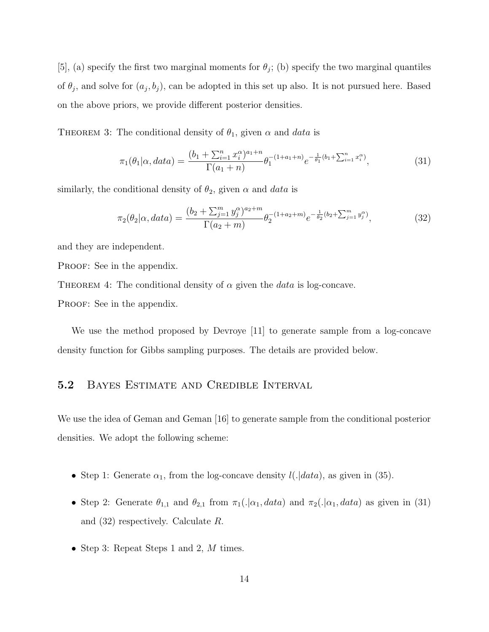[5], (a) specify the first two marginal moments for  $\theta_j$ ; (b) specify the two marginal quantiles of  $\theta_j$ , and solve for  $(a_j, b_j)$ , can be adopted in this set up also. It is not pursued here. Based on the above priors, we provide different posterior densities.

THEOREM 3: The conditional density of  $\theta_1$ , given  $\alpha$  and data is

$$
\pi_1(\theta_1|\alpha, data) = \frac{(b_1 + \sum_{i=1}^n x_i^{\alpha})^{a_1+n}}{\Gamma(a_1+n)} \theta_1^{-(1+a_1+n)} e^{-\frac{1}{\theta_1}(b_1 + \sum_{i=1}^n x_i^{\alpha})},
$$
\n(31)

similarly, the conditional density of  $\theta_2$ , given  $\alpha$  and data is

$$
\pi_2(\theta_2|\alpha, data) = \frac{(b_2 + \sum_{j=1}^m y_j^{\alpha})^{a_2 + m}}{\Gamma(a_2 + m)} \theta_2^{-(1 + a_2 + m)} e^{-\frac{1}{\theta_2}(b_2 + \sum_{j=1}^m y_j^{\alpha})},
$$
\n(32)

and they are independent.

PROOF: See in the appendix.

THEOREM 4: The conditional density of  $\alpha$  given the *data* is log-concave.

PROOF: See in the appendix.

We use the method proposed by Devroye [11] to generate sample from a log-concave density function for Gibbs sampling purposes. The details are provided below.

#### 5.2 BAYES ESTIMATE AND CREDIBLE INTERVAL

We use the idea of Geman and Geman [16] to generate sample from the conditional posterior densities. We adopt the following scheme:

- Step 1: Generate  $\alpha_1$ , from the log-concave density  $l(.|data)$ , as given in (35).
- Step 2: Generate  $\theta_{1,1}$  and  $\theta_{2,1}$  from  $\pi_1(.|\alpha_1, data)$  and  $\pi_2(.|\alpha_1, data)$  as given in (31) and (32) respectively. Calculate R.
- Step 3: Repeat Steps 1 and 2, M times.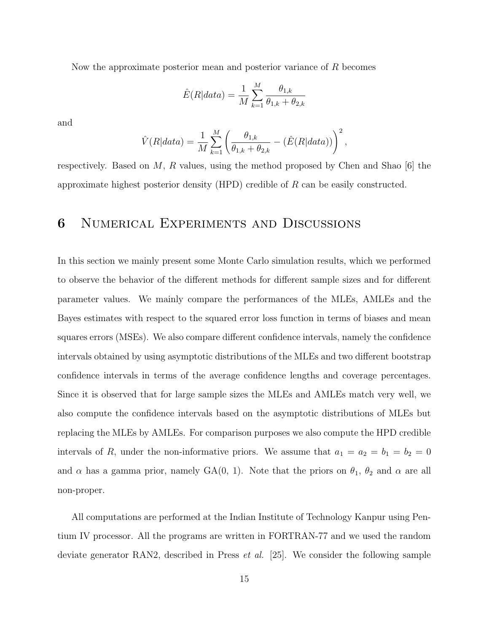Now the approximate posterior mean and posterior variance of  $R$  becomes

$$
\hat{E}(R|data) = \frac{1}{M} \sum_{k=1}^{M} \frac{\theta_{1,k}}{\theta_{1,k} + \theta_{2,k}}
$$

and

$$
\hat{V}(R|data) = \frac{1}{M} \sum_{k=1}^{M} \left( \frac{\theta_{1,k}}{\theta_{1,k} + \theta_{2,k}} - (\hat{E}(R|data)) \right)^2,
$$

respectively. Based on  $M$ ,  $R$  values, using the method proposed by Chen and Shao [6] the approximate highest posterior density (HPD) credible of R can be easily constructed.

# 6 Numerical Experiments and Discussions

In this section we mainly present some Monte Carlo simulation results, which we performed to observe the behavior of the different methods for different sample sizes and for different parameter values. We mainly compare the performances of the MLEs, AMLEs and the Bayes estimates with respect to the squared error loss function in terms of biases and mean squares errors (MSEs). We also compare different confidence intervals, namely the confidence intervals obtained by using asymptotic distributions of the MLEs and two different bootstrap confidence intervals in terms of the average confidence lengths and coverage percentages. Since it is observed that for large sample sizes the MLEs and AMLEs match very well, we also compute the confidence intervals based on the asymptotic distributions of MLEs but replacing the MLEs by AMLEs. For comparison purposes we also compute the HPD credible intervals of R, under the non-informative priors. We assume that  $a_1 = a_2 = b_1 = b_2 = 0$ and  $\alpha$  has a gamma prior, namely GA(0, 1). Note that the priors on  $\theta_1$ ,  $\theta_2$  and  $\alpha$  are all non-proper.

All computations are performed at the Indian Institute of Technology Kanpur using Pentium IV processor. All the programs are written in FORTRAN-77 and we used the random deviate generator RAN2, described in Press *et al.* [25]. We consider the following sample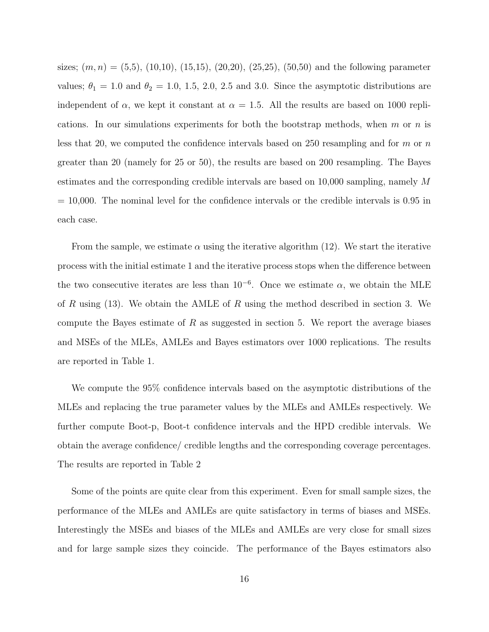sizes;  $(m, n) = (5,5), (10,10), (15,15), (20,20), (25,25), (50,50)$  and the following parameter values;  $\theta_1 = 1.0$  and  $\theta_2 = 1.0$ , 1.5, 2.0, 2.5 and 3.0. Since the asymptotic distributions are independent of  $\alpha$ , we kept it constant at  $\alpha = 1.5$ . All the results are based on 1000 replications. In our simulations experiments for both the bootstrap methods, when m or n is less that 20, we computed the confidence intervals based on 250 resampling and for  $m$  or  $n$ greater than 20 (namely for 25 or 50), the results are based on 200 resampling. The Bayes estimates and the corresponding credible intervals are based on 10,000 sampling, namely M  $= 10,000$ . The nominal level for the confidence intervals or the credible intervals is 0.95 in each case.

From the sample, we estimate  $\alpha$  using the iterative algorithm (12). We start the iterative process with the initial estimate 1 and the iterative process stops when the difference between the two consecutive iterates are less than  $10^{-6}$ . Once we estimate  $\alpha$ , we obtain the MLE of R using  $(13)$ . We obtain the AMLE of R using the method described in section 3. We compute the Bayes estimate of  $R$  as suggested in section 5. We report the average biases and MSEs of the MLEs, AMLEs and Bayes estimators over 1000 replications. The results are reported in Table 1.

We compute the 95% confidence intervals based on the asymptotic distributions of the MLEs and replacing the true parameter values by the MLEs and AMLEs respectively. We further compute Boot-p, Boot-t confidence intervals and the HPD credible intervals. We obtain the average confidence/ credible lengths and the corresponding coverage percentages. The results are reported in Table 2

Some of the points are quite clear from this experiment. Even for small sample sizes, the performance of the MLEs and AMLEs are quite satisfactory in terms of biases and MSEs. Interestingly the MSEs and biases of the MLEs and AMLEs are very close for small sizes and for large sample sizes they coincide. The performance of the Bayes estimators also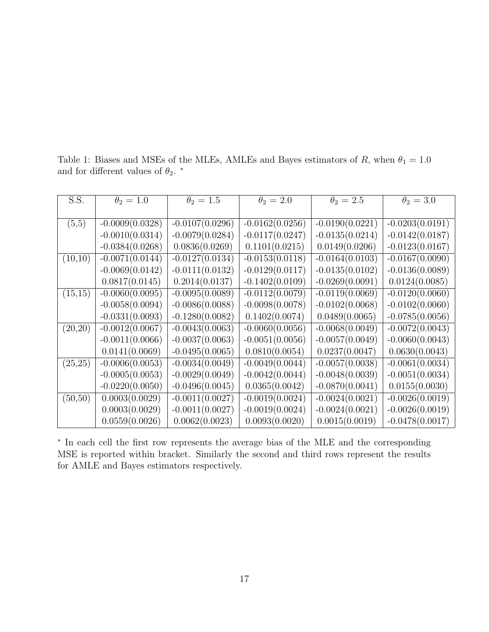Table 1: Biases and MSEs of the MLEs, AMLEs and Bayes estimators of R, when  $\theta_1 = 1.0$ and for different values of  $\theta_2$ .  $^*$ 

| S.S.     | $\theta_2=1.0$    | $\theta_2=1.5$    | $\theta_2=2.0$    | $\theta_2=2.5$    | $\theta_2=3.0$    |
|----------|-------------------|-------------------|-------------------|-------------------|-------------------|
|          |                   |                   |                   |                   |                   |
| (5,5)    | $-0.0009(0.0328)$ | $-0.0107(0.0296)$ | $-0.0162(0.0256)$ | $-0.0190(0.0221)$ | $-0.0203(0.0191)$ |
|          | $-0.0010(0.0314)$ | $-0.0079(0.0284)$ | $-0.0117(0.0247)$ | $-0.0135(0.0214)$ | $-0.0142(0.0187)$ |
|          | $-0.0384(0.0268)$ | 0.0836(0.0269)    | 0.1101(0.0215)    | 0.0149(0.0206)    | $-0.0123(0.0167)$ |
| (10,10)  | $-0.0071(0.0144)$ | $-0.0127(0.0134)$ | $-0.0153(0.0118)$ | $-0.0164(0.0103)$ | $-0.0167(0.0090)$ |
|          | $-0.0069(0.0142)$ | $-0.0111(0.0132)$ | $-0.0129(0.0117)$ | $-0.0135(0.0102)$ | $-0.0136(0.0089)$ |
|          | 0.0817(0.0145)    | 0.2014(0.0137)    | $-0.1402(0.0109)$ | $-0.0269(0.0091)$ | 0.0124(0.0085)    |
| (15,15)  | $-0.0060(0.0095)$ | $-0.0095(0.0089)$ | $-0.0112(0.0079)$ | $-0.0119(0.0069)$ | $-0.0120(0.0060)$ |
|          | $-0.0058(0.0094)$ | $-0.0086(0.0088)$ | $-0.0098(0.0078)$ | $-0.0102(0.0068)$ | $-0.0102(0.0060)$ |
|          | $-0.0331(0.0093)$ | $-0.1280(0.0082)$ | 0.1402(0.0074)    | 0.0489(0.0065)    | $-0.0785(0.0056)$ |
| (20,20)  | $-0.0012(0.0067)$ | $-0.0043(0.0063)$ | $-0.0060(0.0056)$ | $-0.0068(0.0049)$ | $-0.0072(0.0043)$ |
|          | $-0.0011(0.0066)$ | $-0.0037(0.0063)$ | $-0.0051(0.0056)$ | $-0.0057(0.0049)$ | $-0.0060(0.0043)$ |
|          | 0.0141(0.0069)    | $-0.0495(0.0065)$ | 0.0810(0.0054)    | 0.0237(0.0047)    | 0.0630(0.0043)    |
| (25,25)  | $-0.0006(0.0053)$ | $-0.0034(0.0049)$ | $-0.0049(0.0044)$ | $-0.0057(0.0038)$ | $-0.0061(0.0034)$ |
|          | $-0.0005(0.0053)$ | $-0.0029(0.0049)$ | $-0.0042(0.0044)$ | $-0.0048(0.0039)$ | $-0.0051(0.0034)$ |
|          | $-0.0220(0.0050)$ | $-0.0496(0.0045)$ | 0.0365(0.0042)    | $-0.0870(0.0041)$ | 0.0155(0.0030)    |
| (50, 50) | 0.0003(0.0029)    | $-0.0011(0.0027)$ | $-0.0019(0.0024)$ | $-0.0024(0.0021)$ | $-0.0026(0.0019)$ |
|          | 0.0003(0.0029)    | $-0.0011(0.0027)$ | $-0.0019(0.0024)$ | $-0.0024(0.0021)$ | $-0.0026(0.0019)$ |
|          | 0.0559(0.0026)    | 0.0062(0.0023)    | 0.0093(0.0020)    | 0.0015(0.0019)    | $-0.0478(0.0017)$ |

∗ In each cell the first row represents the average bias of the MLE and the corresponding MSE is reported within bracket. Similarly the second and third rows represent the results for AMLE and Bayes estimators respectively.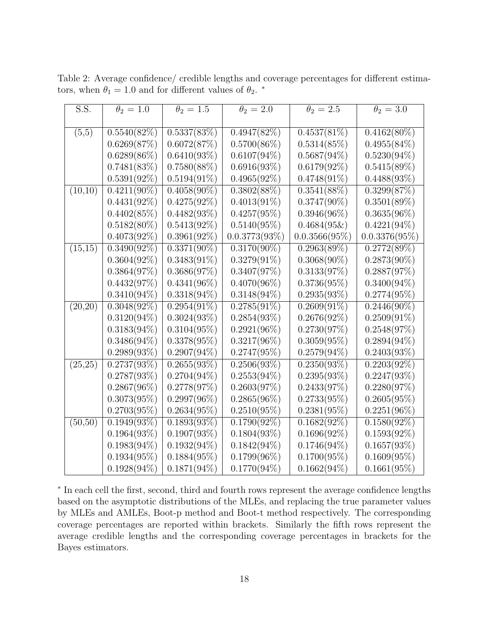Table 2: Average confidence/ credible lengths and coverage percentages for different estimators, when  $\theta_1 = 1.0$  and for different values of  $\theta_2$ . \*

| S.S.     | $\theta_2=1.0$ | $\theta_2=1.5$ | $\theta_2=2.0$   | $\theta_2=2.5$   | $\theta_2=3.0$   |
|----------|----------------|----------------|------------------|------------------|------------------|
|          |                |                |                  |                  |                  |
| (5,5)    | $0.5540(82\%)$ | 0.5337(83%)    | 0.4947(82%)      | $0.4537(81\%)$   | $0.4162(80\%)$   |
|          | 0.6269(87%)    | 0.6072(87%)    | $0.5700(86\%)$   | $0.5314(85\%)$   | $0.4955(84\%)$   |
|          | $0.6289(86\%)$ | $0.6410(93\%)$ | $0.6107(94\%)$   | $0.5687(94\%)$   | $0.5230(94\%)$   |
|          | 0.7481(83%)    | $0.7580(88\%)$ | 0.6916(93%)      | $0.6179(92\%)$   | $0.5415(89\%)$   |
|          | $0.5391(92\%)$ | $0.5194(91\%)$ | $0.4965(92\%)$   | $0.4748(91\%)$   | $0.4488(93\%)$   |
| (10,10)  | $0.4211(90\%)$ | $0.4058(90\%)$ | $0.3802(88\%)$   | $0.3541(88\%)$   | 0.3299(87%)      |
|          | $0.4431(92\%)$ | $0.4275(92\%)$ | $0.4013(91\%)$   | $0.3747(90\%)$   | $0.3501(89\%)$   |
|          | 0.4402(85%)    | $0.4482(93\%)$ | $0.4257(95\%)$   | $0.3946(96\%)$   | $0.3635(96\%)$   |
|          | $0.5182(80\%)$ | $0.5413(92\%)$ | $0.5140(95\%)$   | $0.4684(95\&)$   | $0.4221(94\%)$   |
|          | $0.4073(92\%)$ | $0.3961(92\%)$ | $0.0.3773(93\%)$ | $0.0.3566(95\%)$ | $0.0.3376(95\%)$ |
| (15,15)  | $0.3490(92\%)$ | $0.3371(90\%)$ | $0.3170(90\%)$   | $0.2963(89\%)$   | 0.2772(89%)      |
|          | $0.3604(92\%)$ | $0.3483(91\%)$ | $0.3279(91\%)$   | $0.3068(90\%)$   | $0.2873(90\%)$   |
|          | 0.3864(97%)    | 0.3686(97%)    | 0.3407(97%)      | 0.3133(97%)      | 0.2887(97%)      |
|          | 0.4432(97%)    | $0.4341(96\%)$ | $0.4070(96\%)$   | $0.3736(95\%)$   | $0.3400(94\%)$   |
|          | $0.3410(94\%)$ | $0.3318(94\%)$ | $0.3148(94\%)$   | $0.2935(93\%)$   | $0.2774(95\%)$   |
| (20,20)  | $0.3048(92\%)$ | $0.2954(91\%)$ | $0.2785(91\%)$   | $0.2609(91\%)$   | $0.2446(90\%)$   |
|          | $0.3120(94\%)$ | $0.3024(93\%)$ | $0.2854(93\%)$   | $0.2676(92\%)$   | $0.2509(91\%)$   |
|          | $0.3183(94\%)$ | $0.3104(95\%)$ | $0.2921(96\%)$   | 0.2730(97%)      | 0.2548(97%)      |
|          | $0.3486(94\%)$ | $0.3378(95\%)$ | $0.3217(96\%)$   | $0.3059(95\%)$   | $0.2894(94\%)$   |
|          | $0.2989(93\%)$ | $0.2907(94\%)$ | $0.2747(95\%)$   | $0.2579(94\%)$   | 0.2403(93%)      |
| (25,25)  | $0.2737(93\%)$ | 0.2655(93%)    | $0.2506(93\%)$   | $0.2350(93\%)$   | $0.2203(92\%)$   |
|          | $0.2787(93\%)$ | $0.2704(94\%)$ | $0.2553(94\%)$   | $0.2395(93\%)$   | 0.2247(93%)      |
|          | $0.2867(96\%)$ | 0.2778(97%)    | 0.2603(97%)      | 0.2433(97%)      | 0.2280(97%)      |
|          | $0.3073(95\%)$ | $0.2997(96\%)$ | $0.2865(96\%)$   | $0.2733(95\%)$   | $0.2605(95\%)$   |
|          | $0.2703(95\%)$ | $0.2634(95\%)$ | $0.2510(95\%)$   | $0.2381(95\%)$   | $0.2251(96\%)$   |
| (50, 50) | $0.1949(93\%)$ | 0.1893(93%)    | $0.1790(92\%)$   | $0.1682(92\%)$   | $0.1580(92\%)$   |
|          | $0.1964(93\%)$ | $0.1907(93\%)$ | $0.1804(93\%)$   | $0.1696(92\%)$   | $0.1593(92\%)$   |
|          | $0.1983(94\%)$ | $0.1932(94\%)$ | $0.1842(94\%)$   | $0.1746(94\%)$   | 0.1657(93%)      |
|          | $0.1934(95\%)$ | $0.1884(95\%)$ | $0.1799(96\%)$   | $0.1700(95\%)$   | $0.1609(95\%)$   |
|          | $0.1928(94\%)$ | $0.1871(94\%)$ | $0.1770(94\%)$   | $0.1662(94\%)$   | 0.1661(95%)      |

∗ In each cell the first, second, third and fourth rows represent the average confidence lengths based on the asymptotic distributions of the MLEs, and replacing the true parameter values by MLEs and AMLEs, Boot-p method and Boot-t method respectively. The corresponding coverage percentages are reported within brackets. Similarly the fifth rows represent the average credible lengths and the corresponding coverage percentages in brackets for the Bayes estimators.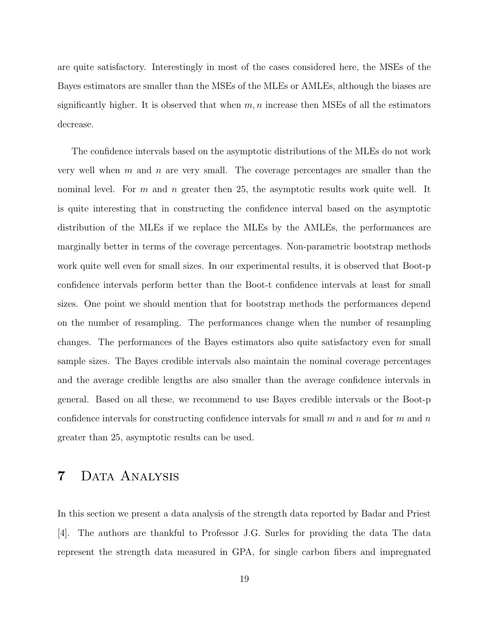are quite satisfactory. Interestingly in most of the cases considered here, the MSEs of the Bayes estimators are smaller than the MSEs of the MLEs or AMLEs, although the biases are significantly higher. It is observed that when  $m, n$  increase then MSEs of all the estimators decrease.

The confidence intervals based on the asymptotic distributions of the MLEs do not work very well when  $m$  and  $n$  are very small. The coverage percentages are smaller than the nominal level. For m and n greater then 25, the asymptotic results work quite well. It is quite interesting that in constructing the confidence interval based on the asymptotic distribution of the MLEs if we replace the MLEs by the AMLEs, the performances are marginally better in terms of the coverage percentages. Non-parametric bootstrap methods work quite well even for small sizes. In our experimental results, it is observed that Boot-p confidence intervals perform better than the Boot-t confidence intervals at least for small sizes. One point we should mention that for bootstrap methods the performances depend on the number of resampling. The performances change when the number of resampling changes. The performances of the Bayes estimators also quite satisfactory even for small sample sizes. The Bayes credible intervals also maintain the nominal coverage percentages and the average credible lengths are also smaller than the average confidence intervals in general. Based on all these, we recommend to use Bayes credible intervals or the Boot-p confidence intervals for constructing confidence intervals for small m and n and for m and n greater than 25, asymptotic results can be used.

# 7 DATA ANALYSIS

In this section we present a data analysis of the strength data reported by Badar and Priest [4]. The authors are thankful to Professor J.G. Surles for providing the data The data represent the strength data measured in GPA, for single carbon fibers and impregnated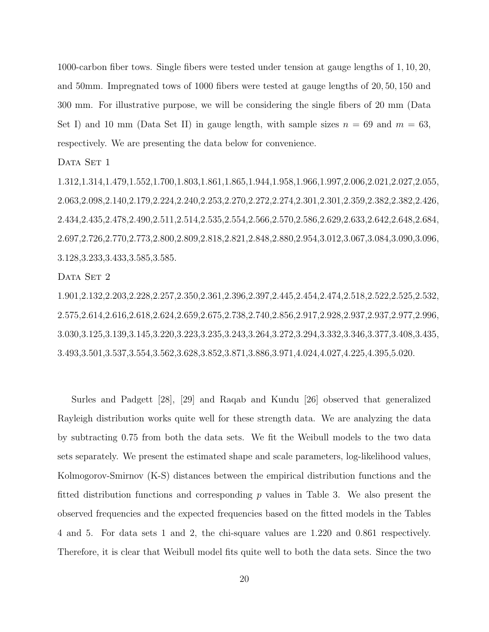1000-carbon fiber tows. Single fibers were tested under tension at gauge lengths of 1, 10, 20, and 50mm. Impregnated tows of 1000 fibers were tested at gauge lengths of 20, 50, 150 and 300 mm. For illustrative purpose, we will be considering the single fibers of 20 mm (Data Set I) and 10 mm (Data Set II) in gauge length, with sample sizes  $n = 69$  and  $m = 63$ , respectively. We are presenting the data below for convenience.

DATA SET 1

1.312,1.314,1.479,1.552,1.700,1.803,1.861,1.865,1.944,1.958,1.966,1.997,2.006,2.021,2.027,2.055, 2.063,2.098,2.140,2.179,2.224,2.240,2.253,2.270,2.272,2.274,2.301,2.301,2.359,2.382,2.382,2.426, 2.434,2.435,2.478,2.490,2.511,2.514,2.535,2.554,2.566,2.570,2.586,2.629,2.633,2.642,2.648,2.684, 2.697,2.726,2.770,2.773,2.800,2.809,2.818,2.821,2.848,2.880,2.954,3.012,3.067,3.084,3.090,3.096, 3.128,3.233,3.433,3.585,3.585.

DATA SET 2

1.901,2.132,2.203,2.228,2.257,2.350,2.361,2.396,2.397,2.445,2.454,2.474,2.518,2.522,2.525,2.532, 2.575,2.614,2.616,2.618,2.624,2.659,2.675,2.738,2.740,2.856,2.917,2.928,2.937,2.937,2.977,2.996, 3.030,3.125,3.139,3.145,3.220,3.223,3.235,3.243,3.264,3.272,3.294,3.332,3.346,3.377,3.408,3.435, 3.493,3.501,3.537,3.554,3.562,3.628,3.852,3.871,3.886,3.971,4.024,4.027,4.225,4.395,5.020.

Surles and Padgett [28], [29] and Raqab and Kundu [26] observed that generalized Rayleigh distribution works quite well for these strength data. We are analyzing the data by subtracting 0.75 from both the data sets. We fit the Weibull models to the two data sets separately. We present the estimated shape and scale parameters, log-likelihood values, Kolmogorov-Smirnov (K-S) distances between the empirical distribution functions and the fitted distribution functions and corresponding  $p$  values in Table 3. We also present the observed frequencies and the expected frequencies based on the fitted models in the Tables 4 and 5. For data sets 1 and 2, the chi-square values are 1.220 and 0.861 respectively. Therefore, it is clear that Weibull model fits quite well to both the data sets. Since the two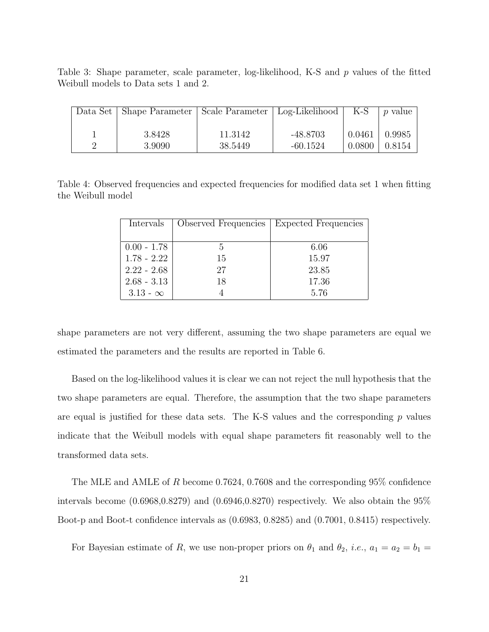Table 3: Shape parameter, scale parameter, log-likelihood, K-S and p values of the fitted Weibull models to Data sets 1 and 2.

| Data Set   Shape Parameter   Scale Parameter   Log-Likelihood   K-S |                    |                          |        | <i>p</i> value                |
|---------------------------------------------------------------------|--------------------|--------------------------|--------|-------------------------------|
| 3.8428<br>3.9090                                                    | 11.3142<br>38.5449 | $-48.8703$<br>$-60.1524$ | 0.0461 | 0.9985<br>$0.0800 \pm 0.8154$ |

Table 4: Observed frequencies and expected frequencies for modified data set 1 when fitting the Weibull model

| Intervals       | Observed Frequencies | Expected Frequencies |
|-----------------|----------------------|----------------------|
|                 |                      |                      |
| $0.00 - 1.78$   | 5                    | 6.06                 |
| $1.78 - 2.22$   | 15                   | 15.97                |
| $2.22 - 2.68$   | 27                   | 23.85                |
| $2.68 - 3.13$   | 18                   | 17.36                |
| $3.13 - \infty$ |                      | 5.76                 |

shape parameters are not very different, assuming the two shape parameters are equal we estimated the parameters and the results are reported in Table 6.

Based on the log-likelihood values it is clear we can not reject the null hypothesis that the two shape parameters are equal. Therefore, the assumption that the two shape parameters are equal is justified for these data sets. The K-S values and the corresponding  $p$  values indicate that the Weibull models with equal shape parameters fit reasonably well to the transformed data sets.

The MLE and AMLE of R become 0.7624, 0.7608 and the corresponding 95% confidence intervals become  $(0.6968,0.8279)$  and  $(0.6946,0.8270)$  respectively. We also obtain the  $95\%$ Boot-p and Boot-t confidence intervals as (0.6983, 0.8285) and (0.7001, 0.8415) respectively.

For Bayesian estimate of R, we use non-proper priors on  $\theta_1$  and  $\theta_2$ , *i.e.*,  $a_1 = a_2 = b_1 =$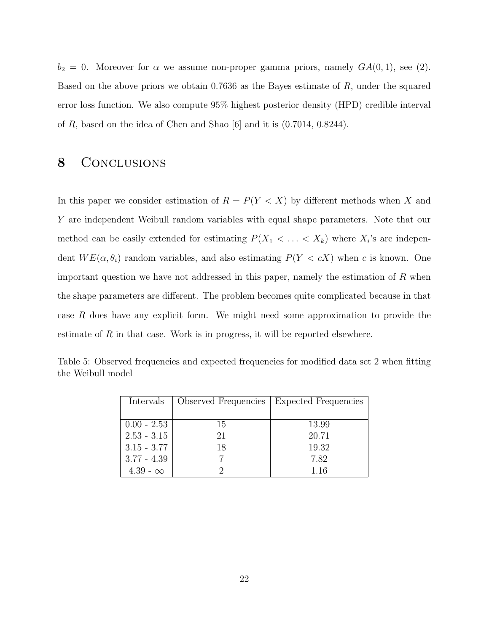$b_2 = 0$ . Moreover for  $\alpha$  we assume non-proper gamma priors, namely  $GA(0, 1)$ , see (2). Based on the above priors we obtain 0.7636 as the Bayes estimate of R, under the squared error loss function. We also compute 95% highest posterior density (HPD) credible interval of R, based on the idea of Chen and Shao [6] and it is (0.7014, 0.8244).

### 8 CONCLUSIONS

In this paper we consider estimation of  $R = P(Y < X)$  by different methods when X and Y are independent Weibull random variables with equal shape parameters. Note that our method can be easily extended for estimating  $P(X_1 \leq \ldots \leq X_k)$  where  $X_i$ 's are independent  $WE(\alpha, \theta_i)$  random variables, and also estimating  $P(Y < cX)$  when c is known. One important question we have not addressed in this paper, namely the estimation of  $R$  when the shape parameters are different. The problem becomes quite complicated because in that case R does have any explicit form. We might need some approximation to provide the estimate of  $R$  in that case. Work is in progress, it will be reported elsewhere.

| Intervals       | Observed Frequencies | <b>Expected Frequencies</b> |  |  |
|-----------------|----------------------|-----------------------------|--|--|
|                 |                      |                             |  |  |
| $0.00 - 2.53$   | 15                   | 13.99                       |  |  |
| $2.53 - 3.15$   | 21                   | 20.71                       |  |  |
| $3.15 - 3.77$   | 18                   | 19.32                       |  |  |
| $3.77 - 4.39$   |                      | 7.82                        |  |  |
| $4.39 - \infty$ |                      | 1.16                        |  |  |

Table 5: Observed frequencies and expected frequencies for modified data set 2 when fitting the Weibull model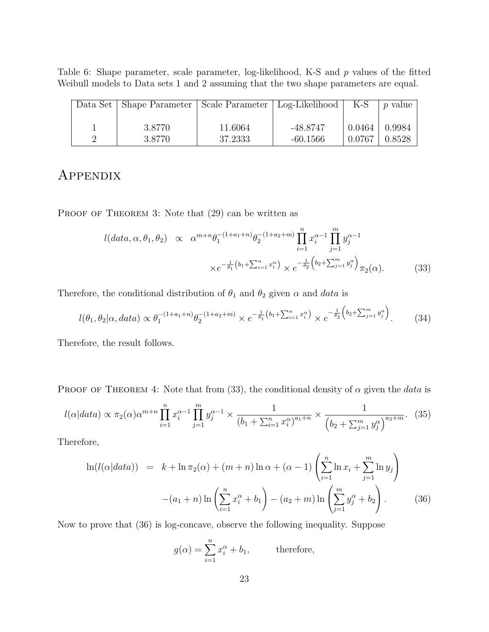Table 6: Shape parameter, scale parameter, log-likelihood, K-S and p values of the fitted Weibull models to Data sets 1 and 2 assuming that the two shape parameters are equal.

| Data Set   Shape Parameter   Scale Parameter   Log-Likelihood   K-S |                    |                        |                   | <i>p</i> value    |
|---------------------------------------------------------------------|--------------------|------------------------|-------------------|-------------------|
| 3.8770<br>3.8770                                                    | 11.6064<br>37.2333 | -48.8747<br>$-60.1566$ | $0.0464$   0.9984 | $0.0767 + 0.8528$ |

# Appendix

PROOF OF THEOREM 3: Note that  $(29)$  can be written as

$$
l(data, \alpha, \theta_1, \theta_2) \propto \alpha^{m+n} \theta_1^{-(1+a_1+n)} \theta_2^{-(1+a_2+m)} \prod_{i=1}^n x_i^{\alpha-1} \prod_{j=1}^m y_j^{\alpha-1}
$$

$$
\times e^{-\frac{1}{\theta_1}(b_1 + \sum_{i=1}^n x_i^{\alpha})} \times e^{-\frac{1}{\theta_2}(b_2 + \sum_{j=1}^m y_j^{\alpha})} \pi_2(\alpha). \tag{33}
$$

Therefore, the conditional distribution of  $\theta_1$  and  $\theta_2$  given  $\alpha$  and data is

$$
l(\theta_1, \theta_2 | \alpha, data) \propto \theta_1^{-(1+a_1+n)} \theta_2^{-(1+a_2+m)} \times e^{-\frac{1}{\theta_1} (b_1 + \sum_{i=1}^n x_i^{\alpha})} \times e^{-\frac{1}{\theta_2} (b_2 + \sum_{j=1}^m y_j^{\alpha})}.
$$
 (34)

Therefore, the result follows.

PROOF OF THEOREM 4: Note that from (33), the conditional density of  $\alpha$  given the data is

$$
l(\alpha|data) \propto \pi_2(\alpha)\alpha^{m+n} \prod_{i=1}^n x_i^{\alpha-1} \prod_{j=1}^m y_j^{\alpha-1} \times \frac{1}{(b_1 + \sum_{i=1}^n x_i^{\alpha})^{a_1+n}} \times \frac{1}{(b_2 + \sum_{j=1}^m y_j^{\alpha})^{a_2+m}}. (35)
$$

Therefore,

$$
\ln(l(\alpha|data)) = k + \ln \pi_2(\alpha) + (m+n)\ln \alpha + (\alpha - 1) \left(\sum_{i=1}^n \ln x_i + \sum_{j=1}^m \ln y_j\right) - (a_1 + n)\ln \left(\sum_{i=1}^n x_i^{\alpha} + b_1\right) - (a_2 + m)\ln \left(\sum_{j=1}^m y_j^{\alpha} + b_2\right).
$$
 (36)

Now to prove that (36) is log-concave, observe the following inequality. Suppose

$$
g(\alpha) = \sum_{i=1}^{n} x_i^{\alpha} + b_1,
$$
 therefore,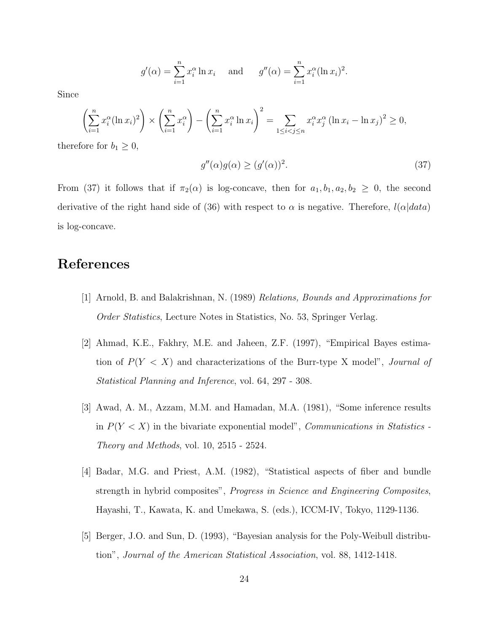$$
g'(\alpha) = \sum_{i=1}^{n} x_i^{\alpha} \ln x_i
$$
 and  $g''(\alpha) = \sum_{i=1}^{n} x_i^{\alpha} (\ln x_i)^2$ .

Since

$$
\left(\sum_{i=1}^{n} x_i^{\alpha} (\ln x_i)^2\right) \times \left(\sum_{i=1}^{n} x_i^{\alpha}\right) - \left(\sum_{i=1}^{n} x_i^{\alpha} \ln x_i\right)^2 = \sum_{1 \le i < j \le n} x_i^{\alpha} x_j^{\alpha} (\ln x_i - \ln x_j)^2 \ge 0,
$$
  
fore for  $h_i > 0$ 

therefore for  $b_1 \geq 0$ ,

$$
g''(\alpha)g(\alpha) \ge (g'(\alpha))^2. \tag{37}
$$

From (37) it follows that if  $\pi_2(\alpha)$  is log-concave, then for  $a_1, b_1, a_2, b_2 \geq 0$ , the second derivative of the right hand side of (36) with respect to  $\alpha$  is negative. Therefore,  $l(\alpha|data)$ is log-concave.

### References

- [1] Arnold, B. and Balakrishnan, N. (1989) Relations, Bounds and Approximations for Order Statistics, Lecture Notes in Statistics, No. 53, Springer Verlag.
- [2] Ahmad, K.E., Fakhry, M.E. and Jaheen, Z.F. (1997), "Empirical Bayes estimation of  $P(Y < X)$  and characterizations of the Burr-type X model", Journal of Statistical Planning and Inference, vol. 64, 297 - 308.
- [3] Awad, A. M., Azzam, M.M. and Hamadan, M.A. (1981), "Some inference results in  $P(Y < X)$  in the bivariate exponential model", *Communications in Statistics* -Theory and Methods, vol. 10, 2515 - 2524.
- [4] Badar, M.G. and Priest, A.M. (1982), "Statistical aspects of fiber and bundle strength in hybrid composites", Progress in Science and Engineering Composites, Hayashi, T., Kawata, K. and Umekawa, S. (eds.), ICCM-IV, Tokyo, 1129-1136.
- [5] Berger, J.O. and Sun, D. (1993), "Bayesian analysis for the Poly-Weibull distribution", Journal of the American Statistical Association, vol. 88, 1412-1418.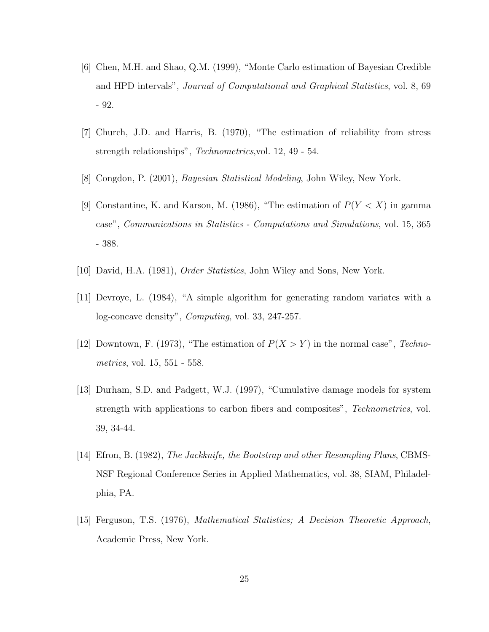- [6] Chen, M.H. and Shao, Q.M. (1999), "Monte Carlo estimation of Bayesian Credible and HPD intervals", Journal of Computational and Graphical Statistics, vol. 8, 69 - 92.
- [7] Church, J.D. and Harris, B. (1970), "The estimation of reliability from stress strength relationships", Technometrics,vol. 12, 49 - 54.
- [8] Congdon, P. (2001), Bayesian Statistical Modeling, John Wiley, New York.
- [9] Constantine, K. and Karson, M. (1986), "The estimation of  $P(Y < X)$  in gamma case", Communications in Statistics - Computations and Simulations, vol. 15, 365 - 388.
- [10] David, H.A. (1981), Order Statistics, John Wiley and Sons, New York.
- [11] Devroye, L. (1984), "A simple algorithm for generating random variates with a log-concave density", Computing, vol. 33, 247-257.
- [12] Downtown, F. (1973), "The estimation of  $P(X > Y)$  in the normal case", Technometrics, vol. 15, 551 - 558.
- [13] Durham, S.D. and Padgett, W.J. (1997), "Cumulative damage models for system strength with applications to carbon fibers and composites", Technometrics, vol. 39, 34-44.
- [14] Efron, B. (1982), The Jackknife, the Bootstrap and other Resampling Plans, CBMS-NSF Regional Conference Series in Applied Mathematics, vol. 38, SIAM, Philadelphia, PA.
- [15] Ferguson, T.S. (1976), Mathematical Statistics; A Decision Theoretic Approach, Academic Press, New York.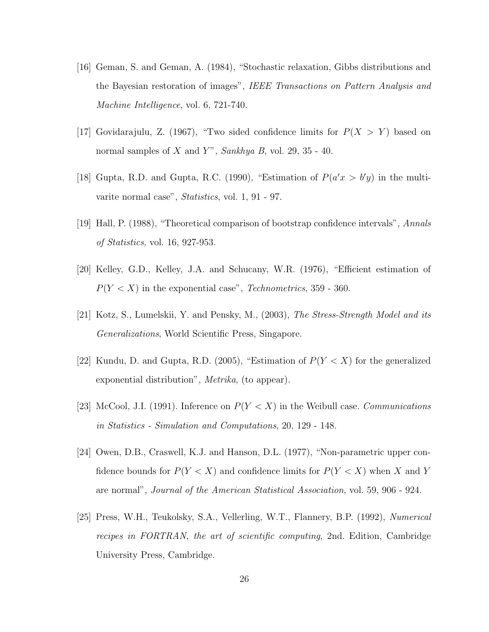- [16] Geman, S. and Geman, A. (1984), "Stochastic relaxation, Gibbs distributions and the Bayesian restoration of images", IEEE Transactions on Pattern Analysis and Machine Intelligence, vol. 6, 721-740.
- [17] Govidarajulu, Z. (1967), "Two sided confidence limits for  $P(X > Y)$  based on normal samples of  $X$  and  $Y$ ", Sankhya B, vol. 29, 35 - 40.
- [18] Gupta, R.D. and Gupta, R.C. (1990), "Estimation of  $P(a'x > b'y)$  in the multivarite normal case", Statistics, vol. 1, 91 - 97.
- [19] Hall, P. (1988), "Theoretical comparison of bootstrap confidence intervals", Annals of Statistics, vol. 16, 927-953.
- [20] Kelley, G.D., Kelley, J.A. and Schucany, W.R. (1976), "Efficient estimation of  $P(Y < X)$  in the exponential case", *Technometrics*, 359 - 360.
- [21] Kotz, S., Lumelskii, Y. and Pensky, M., (2003), The Stress-Strength Model and its Generalizations, World Scientific Press, Singapore.
- [22] Kundu, D. and Gupta, R.D. (2005), "Estimation of  $P(Y < X)$  for the generalized exponential distribution", Metrika, (to appear).
- [23] McCool, J.I. (1991). Inference on  $P(Y < X)$  in the Weibull case. *Communications* in Statistics - Simulation and Computations, 20, 129 - 148.
- [24] Owen, D.B., Craswell, K.J. and Hanson, D.L. (1977), "Non-parametric upper confidence bounds for  $P(Y < X)$  and confidence limits for  $P(Y < X)$  when X and Y are normal", Journal of the American Statistical Association, vol. 59, 906 - 924.
- [25] Press, W.H., Teukolsky, S.A., Vellerling, W.T., Flannery, B.P. (1992), Numerical recipes in FORTRAN, the art of scientific computing, 2nd. Edition, Cambridge University Press, Cambridge.